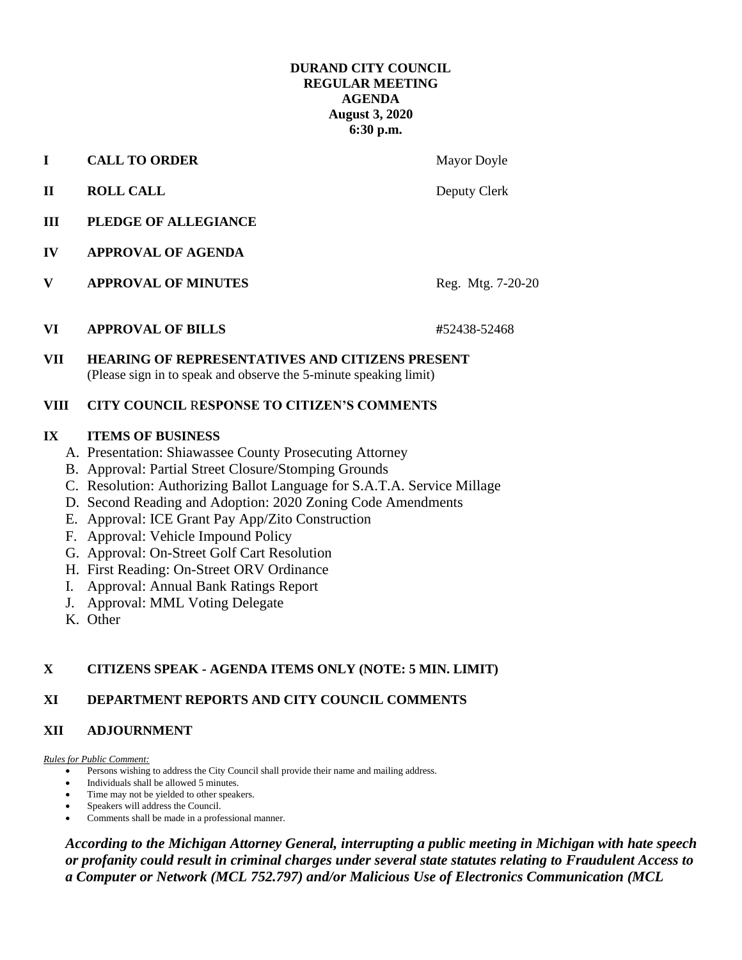## **DURAND CITY COUNCIL REGULAR MEETING AGENDA August 3, 2020 6:30 p.m.**

**I CALL TO ORDER** Mayor Doyle

- **II ROLL CALL** Deputy Clerk
- **III PLEDGE OF ALLEGIANCE**
- **IV APPROVAL OF AGENDA**
- **V APPROVAL OF MINUTES** Reg. Mtg. 7-20-20
- **VI APPROVAL OF BILLS #**52438-52468

**VII HEARING OF REPRESENTATIVES AND CITIZENS PRESENT** (Please sign in to speak and observe the 5-minute speaking limit)

### **VIII CITY COUNCIL** R**ESPONSE TO CITIZEN'S COMMENTS**

# **IX ITEMS OF BUSINESS**

- A. Presentation: Shiawassee County Prosecuting Attorney
- B. Approval: Partial Street Closure/Stomping Grounds
- C. Resolution: Authorizing Ballot Language for S.A.T.A. Service Millage
- D. Second Reading and Adoption: 2020 Zoning Code Amendments
- E. Approval: ICE Grant Pay App/Zito Construction
- F. Approval: Vehicle Impound Policy
- G. Approval: On-Street Golf Cart Resolution
- H. First Reading: On-Street ORV Ordinance
- I. Approval: Annual Bank Ratings Report
- J. Approval: MML Voting Delegate
- K. Other

# **X CITIZENS SPEAK - AGENDA ITEMS ONLY (NOTE: 5 MIN. LIMIT)**

# **XI DEPARTMENT REPORTS AND CITY COUNCIL COMMENTS**

# **XII ADJOURNMENT**

#### *Rules for Public Comment:*

- Persons wishing to address the City Council shall provide their name and mailing address.
- Individuals shall be allowed 5 minutes.
- Time may not be yielded to other speakers.
- Speakers will address the Council.
- Comments shall be made in a professional manner.

*According to the Michigan Attorney General, interrupting a public meeting in Michigan with hate speech or profanity could result in criminal charges under several state statutes relating to Fraudulent Access to a Computer or Network (MCL 752.797) and/or Malicious Use of Electronics Communication (MCL*